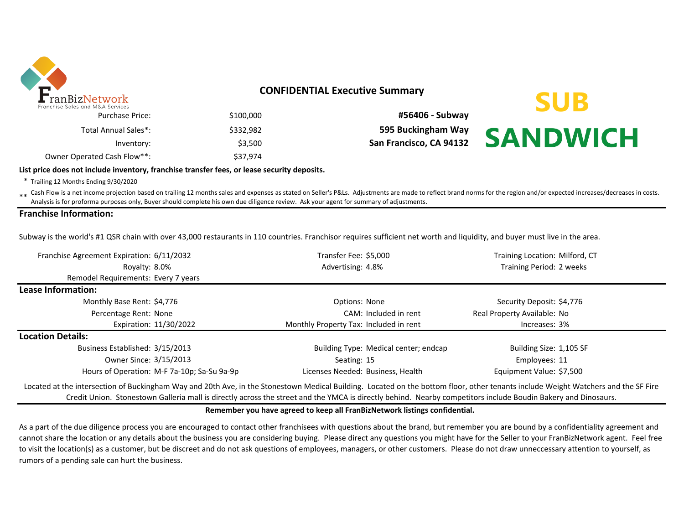

# **CONFIDENTIAL Executive Summary**

| \$100,000 | <b>Purchase Price:</b>      |
|-----------|-----------------------------|
| \$332,982 | Total Annual Sales*:        |
| \$3,500   | Inventory:                  |
| \$37,974  | Owner Operated Cash Flow**: |

\$100,000 **#56406 - Subway** \$332,982 **595 Buckingham Way** Inventory: \$3,500 **San Francisco, CA 94132**

# **SUB SANDWICH**

#### **List price does not include inventory, franchise transfer fees, or lease security deposits.**

\* Trailing 12 Months Ending 9/30/2020

\*\* Cash Flow is a net income projection based on trailing 12 months sales and expenses as stated on Seller's P&Ls. Adjustments are made to reflect brand norms for the region and/or expected increases/decreases in costs.<br>An Analysis is for proforma purposes only, Buyer should complete his own due diligence review. Ask your agent for summary of adjustments.

#### **Franchise Information:**

Subway is the world's #1 QSR chain with over 43,000 restaurants in 110 countries. Franchisor requires sufficient net worth and liquidity, and buyer must live in the area.

| Franchise Agreement Expiration: 6/11/2032                                                                                                                                          | Transfer Fee: \$5,000                  | Training Location: Milford, CT |  |  |
|------------------------------------------------------------------------------------------------------------------------------------------------------------------------------------|----------------------------------------|--------------------------------|--|--|
| Royalty: 8.0%                                                                                                                                                                      | Advertising: 4.8%                      | Training Period: 2 weeks       |  |  |
| Remodel Requirements: Every 7 years                                                                                                                                                |                                        |                                |  |  |
| Lease Information:                                                                                                                                                                 |                                        |                                |  |  |
| Monthly Base Rent: \$4,776                                                                                                                                                         | Options: None                          | Security Deposit: \$4,776      |  |  |
| Percentage Rent: None                                                                                                                                                              | CAM: Included in rent                  | Real Property Available: No    |  |  |
| Expiration: 11/30/2022                                                                                                                                                             | Monthly Property Tax: Included in rent | Increases: 3%                  |  |  |
| <b>Location Details:</b>                                                                                                                                                           |                                        |                                |  |  |
| Business Established: 3/15/2013                                                                                                                                                    | Building Type: Medical center; endcap  | Building Size: 1,105 SF        |  |  |
| Owner Since: 3/15/2013                                                                                                                                                             | Seating: 15                            | Employees: 11                  |  |  |
| Hours of Operation: M-F 7a-10p; Sa-Su 9a-9p                                                                                                                                        | Licenses Needed: Business, Health      | Equipment Value: \$7,500       |  |  |
| Located at the intersection of Buckingham Way and 20th Ave, in the Stonestown Medical Building. Located on the bottom floor, other tenants include Weight Watchers and the SF Fire |                                        |                                |  |  |

Credit Union. Stonestown Galleria mall is directly across the street and the YMCA is directly behind. Nearby competitors include Boudin Bakery and Dinosaurs.

**Remember you have agreed to keep all FranBizNetwork listings confidential.** 

As a part of the due diligence process you are encouraged to contact other franchisees with questions about the brand, but remember you are bound by a confidentiality agreement and cannot share the location or any details about the business you are considering buying. Please direct any questions you might have for the Seller to your FranBizNetwork agent. Feel free to visit the location(s) as a customer, but be discreet and do not ask questions of employees, managers, or other customers. Please do not draw unneccessary attention to yourself, as rumors of a pending sale can hurt the business.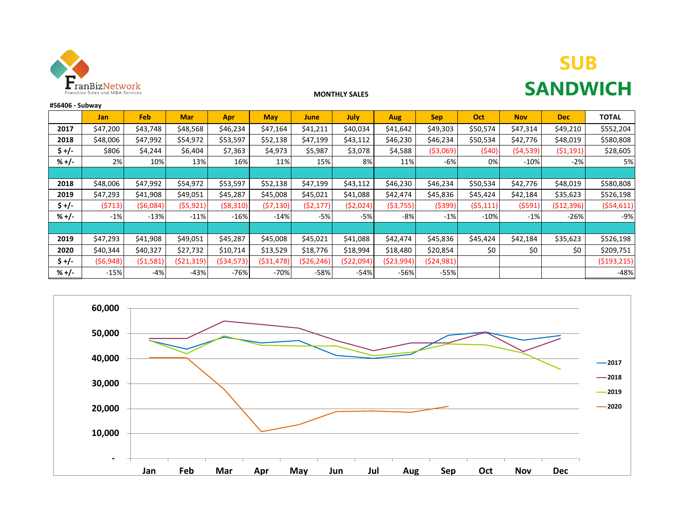

# **SUB SANDWICH**

### **MONTHLY SALES**

| #56406 - Subway |           |            |            |            |             |              |            |            |            |           |            |            |              |
|-----------------|-----------|------------|------------|------------|-------------|--------------|------------|------------|------------|-----------|------------|------------|--------------|
|                 | Jan       | Feb        | <b>Mar</b> | Apr        | <b>May</b>  | June         | July       | Aug        | <b>Sep</b> | Oct       | <b>Nov</b> | <b>Dec</b> | <b>TOTAL</b> |
| 2017            | \$47,200  | \$43,748   | \$48,568   | \$46,234   | \$47,164    | \$41,211     | \$40,034   | \$41,642   | \$49,303   | \$50,574  | \$47,314   | \$49,210   | \$552,204    |
| 2018            | \$48,006  | \$47,992   | \$54,972   | \$53,597   | \$52,138    | \$47,199     | \$43,112   | \$46,230   | \$46,234   | \$50,534  | \$42,776   | \$48,019   | \$580,808    |
| $$+/-$          | \$806     | \$4,244    | \$6,404    | \$7,363    | \$4,973     | \$5,987      | \$3,078    | \$4,588    | ( \$3,069) | (\$40)    | (54, 539)  | (51, 191)  | \$28,605     |
| $% +/-$         | 2%        | 10%        | 13%        | 16%        | 11%         | 15%          | 8%         | 11%        | -6%        | 0%        | $-10%$     | $-2%$      | 5%           |
|                 |           |            |            |            |             |              |            |            |            |           |            |            |              |
| 2018            | \$48,006  | \$47,992   | \$54,972   | \$53,597   | \$52,138    | \$47,199     | \$43,112   | \$46,230   | \$46,234   | \$50,534  | \$42,776   | \$48,019   | \$580,808    |
| 2019            | \$47,293  | \$41,908   | \$49,051   | \$45,287   | \$45,008    | \$45,021     | \$41,088   | \$42,474   | \$45,836   | \$45,424  | \$42,184   | \$35,623   | \$526,198    |
| $$+/-$          | (5713)    | ( \$6,084) | (55, 921)  | (58,310)   | (57, 130)   | (52, 177)    | (52,024)   | ( \$3,755) | ( \$399)   | (55, 111) | (5591)     | (\$12,396) | (554, 611)   |
| $% +/-$         | $-1%$     | $-13%$     | $-11%$     | $-16%$     | $-14%$      | $-5%$        | $-5%$      | $-8%$      | $-1%$      | $-10%$    | $-1%$      | $-26%$     | -9%          |
|                 |           |            |            |            |             |              |            |            |            |           |            |            |              |
| 2019            | \$47,293  | \$41,908   | \$49,051   | \$45,287   | \$45,008    | \$45,021     | \$41,088   | \$42,474   | \$45,836   | \$45,424  | \$42,184   | \$35,623   | \$526,198    |
| 2020            | \$40,344  | \$40,327   | \$27,732   | \$10,714   | \$13,529    | \$18,776     | \$18,994   | \$18,480   | \$20,854   | \$0       | \$0        | \$0        | \$209,751    |
| $$ +/-$         | (56, 948) | (51,581)   | (521, 319) | (534, 573) | ( \$31,478) | ( \$26, 246) | (\$22,094) | (523,994)  | (524,981)  |           |            |            | (5193, 215)  |
| $% +/-$         | $-15%$    | $-4%$      | $-43%$     | $-76%$     | $-70%$      | $-58%$       | $-54%$     | $-56%$     | $-55%$     |           |            |            | $-48%$       |